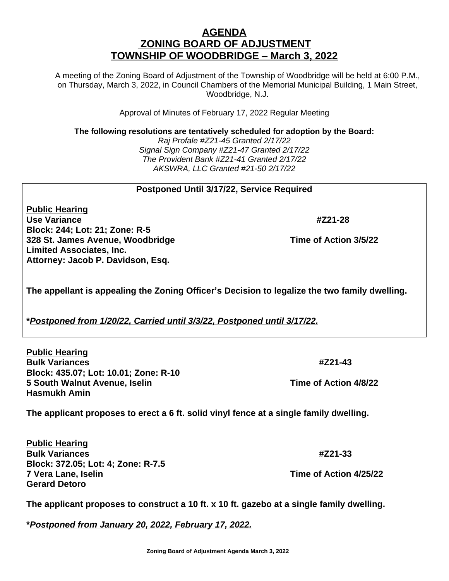## **AGENDA ZONING BOARD OF ADJUSTMENT TOWNSHIP OF WOODBRIDGE – March 3, 2022**

A meeting of the Zoning Board of Adjustment of the Township of Woodbridge will be held at 6:00 P.M., on Thursday, March 3, 2022, in Council Chambers of the Memorial Municipal Building, 1 Main Street, Woodbridge, N.J.

Approval of Minutes of February 17, 2022 Regular Meeting

**The following resolutions are tentatively scheduled for adoption by the Board:**

*Raj Profale #Z21-45 Granted 2/17/22 Signal Sign Company #Z21-47 Granted 2/17/22 The Provident Bank #Z21-41 Granted 2/17/22 AKSWRA, LLC Granted #21-50 2/17/22*

## **Postponed Until 3/17/22, Service Required**

**Public Hearing Use Variance #Z21-28 Block: 244; Lot: 21; Zone: R-5 328 St. James Avenue, Woodbridge Channel St. 2008 Time of Action 3/5/22 Limited Associates, Inc. Attorney: Jacob P. Davidson, Esq.**

**The appellant is appealing the Zoning Officer's Decision to legalize the two family dwelling.**

**\****Postponed from 1/20/22, Carried until 3/3/22, Postponed until 3/17/22.*

**Public Hearing Bulk Variances #Z21-43 Block: 435.07; Lot: 10.01; Zone: R-10 5 South Walnut Avenue, Iselin Time of Action 4/8/22 Hasmukh Amin**

**The applicant proposes to erect a 6 ft. solid vinyl fence at a single family dwelling.**

**Public Hearing Bulk Variances #Z21-33 Block: 372.05; Lot: 4; Zone: R-7.5 7 Vera Lane, Iselin Time of Action 4/25/22 Gerard Detoro**

**The applicant proposes to construct a 10 ft. x 10 ft. gazebo at a single family dwelling.**

**\****Postponed from January 20, 2022, February 17, 2022.*